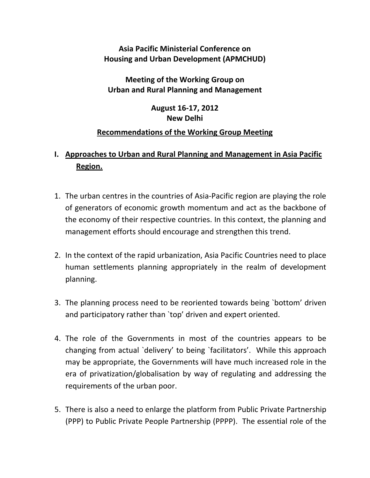### **Asia Pacific Ministerial Conference on Housing and Urban Development (APMCHUD)**

**Meeting of the Working Group on Urban and Rural Planning and Management**

> **August 16‐17, 2012 New Delhi**

#### **Recommendations of the Working Group Meeting**

## **I. Approaches to Urban and Rural Planning and Management in Asia Pacific Region.**

- 1. The urban centres in the countries of Asia‐Pacific region are playing the role of generators of economic growth momentum and act as the backbone of the economy of their respective countries. In this context, the planning and management efforts should encourage and strengthen this trend.
- 2. In the context of the rapid urbanization, Asia Pacific Countries need to place human settlements planning appropriately in the realm of development planning.
- 3. The planning process need to be reoriented towards being `bottom' driven and participatory rather than `top' driven and expert oriented.
- 4. The role of the Governments in most of the countries appears to be changing from actual `delivery' to being `facilitators'. While this approach may be appropriate, the Governments will have much increased role in the era of privatization/globalisation by way of regulating and addressing the requirements of the urban poor.
- 5. There is also a need to enlarge the platform from Public Private Partnership (PPP) to Public Private People Partnership (PPPP). The essential role of the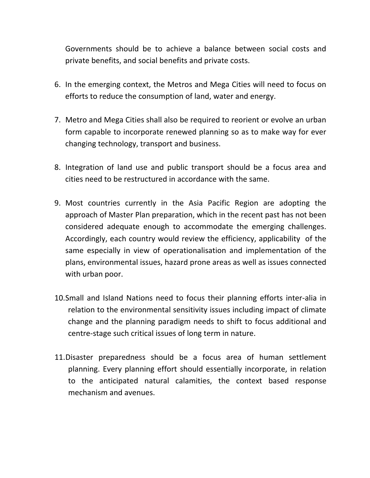Governments should be to achieve a balance between social costs and private benefits, and social benefits and private costs.

- 6. In the emerging context, the Metros and Mega Cities will need to focus on efforts to reduce the consumption of land, water and energy.
- 7. Metro and Mega Cities shall also be required to reorient or evolve an urban form capable to incorporate renewed planning so as to make way for ever changing technology, transport and business.
- 8. Integration of land use and public transport should be a focus area and cities need to be restructured in accordance with the same.
- 9. Most countries currently in the Asia Pacific Region are adopting the approach of Master Plan preparation, which in the recent past has not been considered adequate enough to accommodate the emerging challenges. Accordingly, each country would review the efficiency, applicability of the same especially in view of operationalisation and implementation of the plans, environmental issues, hazard prone areas as well as issues connected with urban poor.
- 10.Small and Island Nations need to focus their planning efforts inter‐alia in relation to the environmental sensitivity issues including impact of climate change and the planning paradigm needs to shift to focus additional and centre‐stage such critical issues of long term in nature.
- 11.Disaster preparedness should be a focus area of human settlement planning. Every planning effort should essentially incorporate, in relation to the anticipated natural calamities, the context based response mechanism and avenues.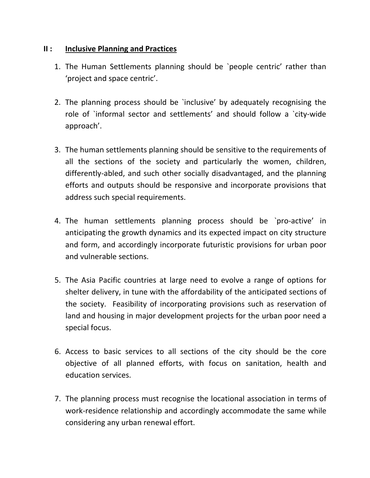#### **II : Inclusive Planning and Practices**

- 1. The Human Settlements planning should be `people centric' rather than 'project and space centric'.
- 2. The planning process should be `inclusive' by adequately recognising the role of `informal sector and settlements' and should follow a `city‐wide approach'.
- 3. The human settlements planning should be sensitive to the requirements of all the sections of the society and particularly the women, children, differently‐abled, and such other socially disadvantaged, and the planning efforts and outputs should be responsive and incorporate provisions that address such special requirements.
- 4. The human settlements planning process should be `pro-active' in anticipating the growth dynamics and its expected impact on city structure and form, and accordingly incorporate futuristic provisions for urban poor and vulnerable sections.
- 5. The Asia Pacific countries at large need to evolve a range of options for shelter delivery, in tune with the affordability of the anticipated sections of the society. Feasibility of incorporating provisions such as reservation of land and housing in major development projects for the urban poor need a special focus.
- 6. Access to basic services to all sections of the city should be the core objective of all planned efforts, with focus on sanitation, health and education services.
- 7. The planning process must recognise the locational association in terms of work-residence relationship and accordingly accommodate the same while considering any urban renewal effort.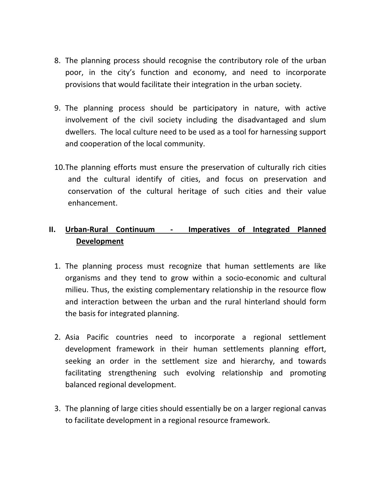- 8. The planning process should recognise the contributory role of the urban poor, in the city's function and economy, and need to incorporate provisions that would facilitate their integration in the urban society.
- 9. The planning process should be participatory in nature, with active involvement of the civil society including the disadvantaged and slum dwellers. The local culture need to be used as a tool for harnessing support and cooperation of the local community.
- 10.The planning efforts must ensure the preservation of culturally rich cities and the cultural identify of cities, and focus on preservation and conservation of the cultural heritage of such cities and their value enhancement.

# **II. Urban‐Rural Continuum ‐ Imperatives of Integrated Planned Development**

- 1. The planning process must recognize that human settlements are like organisms and they tend to grow within a socio‐economic and cultural milieu. Thus, the existing complementary relationship in the resource flow and interaction between the urban and the rural hinterland should form the basis for integrated planning.
- 2. Asia Pacific countries need to incorporate a regional settlement development framework in their human settlements planning effort, seeking an order in the settlement size and hierarchy, and towards facilitating strengthening such evolving relationship and promoting balanced regional development.
- 3. The planning of large cities should essentially be on a larger regional canvas to facilitate development in a regional resource framework.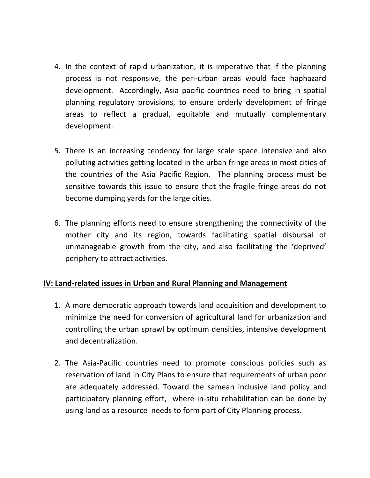- 4. In the context of rapid urbanization, it is imperative that if the planning process is not responsive, the peri‐urban areas would face haphazard development. Accordingly, Asia pacific countries need to bring in spatial planning regulatory provisions, to ensure orderly development of fringe areas to reflect a gradual, equitable and mutually complementary development.
- 5. There is an increasing tendency for large scale space intensive and also polluting activities getting located in the urban fringe areas in most cities of the countries of the Asia Pacific Region. The planning process must be sensitive towards this issue to ensure that the fragile fringe areas do not become dumping yards for the large cities.
- 6. The planning efforts need to ensure strengthening the connectivity of the mother city and its region, towards facilitating spatial disbursal of unmanageable growth from the city, and also facilitating the 'deprived' periphery to attract activities.

#### **IV: Land‐related issues in Urban and Rural Planning and Management**

- 1. A more democratic approach towards land acquisition and development to minimize the need for conversion of agricultural land for urbanization and controlling the urban sprawl by optimum densities, intensive development and decentralization.
- 2. The Asia‐Pacific countries need to promote conscious policies such as reservation of land in City Plans to ensure that requirements of urban poor are adequately addressed. Toward the samean inclusive land policy and participatory planning effort, where in‐situ rehabilitation can be done by using land as a resource needs to form part of City Planning process.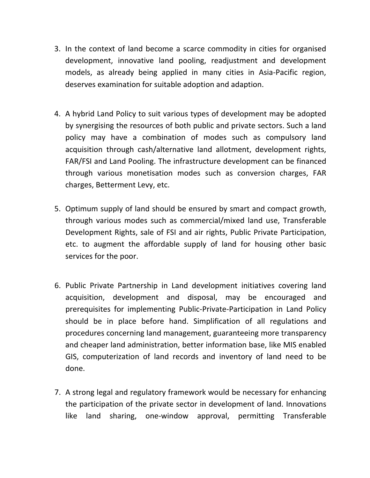- 3. In the context of land become a scarce commodity in cities for organised development, innovative land pooling, readjustment and development models, as already being applied in many cities in Asia‐Pacific region, deserves examination for suitable adoption and adaption.
- 4. A hybrid Land Policy to suit various types of development may be adopted by synergising the resources of both public and private sectors. Such a land policy may have a combination of modes such as compulsory land acquisition through cash/alternative land allotment, development rights, FAR/FSI and Land Pooling. The infrastructure development can be financed through various monetisation modes such as conversion charges, FAR charges, Betterment Levy, etc.
- 5. Optimum supply of land should be ensured by smart and compact growth, through various modes such as commercial/mixed land use, Transferable Development Rights, sale of FSI and air rights, Public Private Participation, etc. to augment the affordable supply of land for housing other basic services for the poor.
- 6. Public Private Partnership in Land development initiatives covering land acquisition, development and disposal, may be encouraged and prerequisites for implementing Public‐Private‐Participation in Land Policy should be in place before hand. Simplification of all regulations and procedures concerning land management, guaranteeing more transparency and cheaper land administration, better information base, like MIS enabled GIS, computerization of land records and inventory of land need to be done.
- 7. A strong legal and regulatory framework would be necessary for enhancing the participation of the private sector in development of land. Innovations like land sharing, one‐window approval, permitting Transferable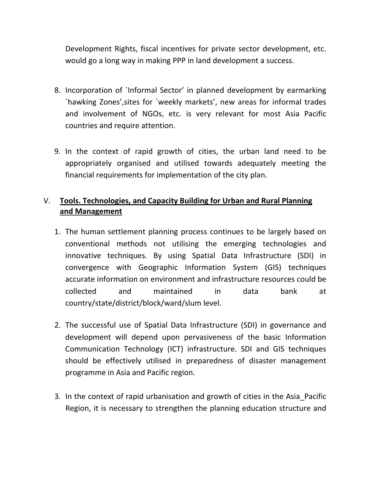Development Rights, fiscal incentives for private sector development, etc. would go a long way in making PPP in land development a success.

- 8. Incorporation of `Informal Sector' in planned development by earmarking `hawking Zones',sites for `weekly markets', new areas for informal trades and involvement of NGOs, etc. is very relevant for most Asia Pacific countries and require attention.
- 9. In the context of rapid growth of cities, the urban land need to be appropriately organised and utilised towards adequately meeting the financial requirements for implementation of the city plan.

## V. **Tools. Technologies, and Capacity Building for Urban and Rural Planning and Management**

- 1. The human settlement planning process continues to be largely based on conventional methods not utilising the emerging technologies and innovative techniques. By using Spatial Data Infrastructure (SDI) in convergence with Geographic Information System (GIS) techniques accurate information on environment and infrastructure resources could be collected and maintained in data bank at country/state/district/block/ward/slum level.
- 2. The successful use of Spatial Data Infrastructure (SDI) in governance and development will depend upon pervasiveness of the basic Information Communication Technology (ICT) infrastructure. SDI and GIS techniques should be effectively utilised in preparedness of disaster management programme in Asia and Pacific region.
- 3. In the context of rapid urbanisation and growth of cities in the Asia\_Pacific Region, it is necessary to strengthen the planning education structure and